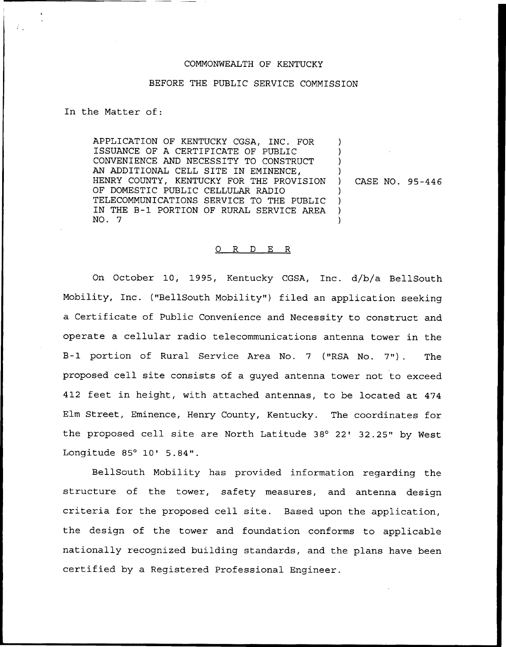## COMMONWEALTH OF KENTUCKY

## BEFORE THE PUBLIC SERVICE COMMISSION

In the Matter of:

APPLICATION OF KENTUCKY CGSA, INC. FOR ISSUANCE OF A CERTIFICATE OF PUBLIC CONVENIENCE AND NECESSITY TO CONSTRUCT AN ADDITIONAL CELL SITE IN EMINENCE, HENRY COUNTY, KENTUCKY FOR THE PROVISION OF DOMESTIC PUBLIC CELLULAR RADIO TELECOMMUNICATIONS SERVICE TO THE PUBLIC IN THE B-1 PORTION OF RURAL SERVICE AREA NO. 7 ) ) ) ) ) CASE NO. 95-446 ) ) ) )

## 0 R <sup>D</sup> E R

On October 10, 1995, Kentucky CGSA, Inc. d/b/a BellSouth Mobility, Inc. ("BellSouth Mobility") filed an application seeking a Certificate of Public Convenience and Necessity to construct and operate a cellular radio telecommunications antenna tower in the B-1 portion of Rural Service Area No. <sup>7</sup> ("RSA No. 7"). The proposed cell site consists of a guyed antenna tower not to exceed 412 feet in height, with attached antennas, to be located at 474 Elm Street, Eminence, Henry County, Kentucky. The coordinates for the proposed cell site are North Latitude 38° 22' 32.25" by West Longitude  $85^{\circ}$  10'  $5.84"$ .

BellSouth Mobility has provided information regarding the structure of the tower, safety measures, and antenna design criteria for the proposed cell site. Based upon the application, the design of the tower and foundation conforms to applicable nationally recognized building standards, and the plans have been certified by a Registered Professional Engineer.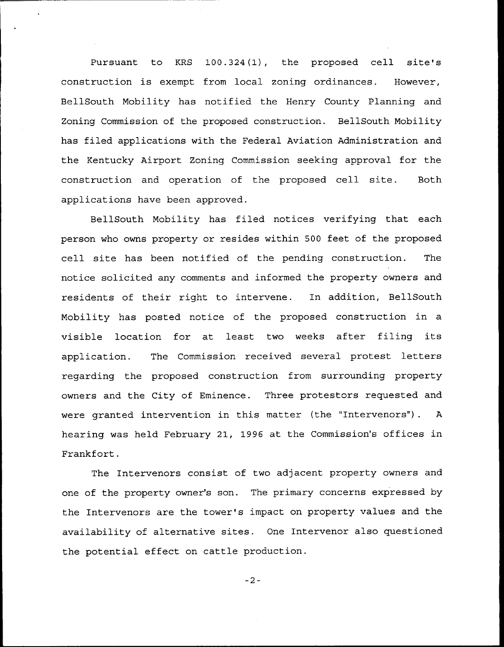Pursuant to KRS 100.324(1), the proposed cell site's construction is exempt from local zoning ordinances. However, BellSouth Nobility has notified the Henry County Planning and Zoning Commission of the proposed construction. BellSouth Mobility has filed applications with the Federal Aviation Administration and the Kentucky Airport Zoning Commission seeking approval for the construction and operation of the proposed cell site. Both applications have been approved.

BellSouth Mobility has filed notices verifying that each person who owns property or resides within 500 feet of the proposed cell site has been notified of the pending construction. The notice solicited any comments and informed the property owners and residents of their right to intervene. In addition, BellSouth Mobility has posted notice of the proposed construction in a visible location for at least two weeks after filing its application. The Commission received several protest letters regarding the proposed construction from surrounding property owners and the City of Eminence. Three protestors requested and were granted intervention in this matter (the "Intervenors"). A hearing was held February 21, 1996 at the Commission's offices in Frankfort.

The Intervenors consist of two adjacent property owners and one of the property owner's son. The primary concerns expressed by the Intervenors are the tower's impact on property values and the availability of alternative sites. One Intervenor also questioned the potential effect on cattle production.

 $-2-$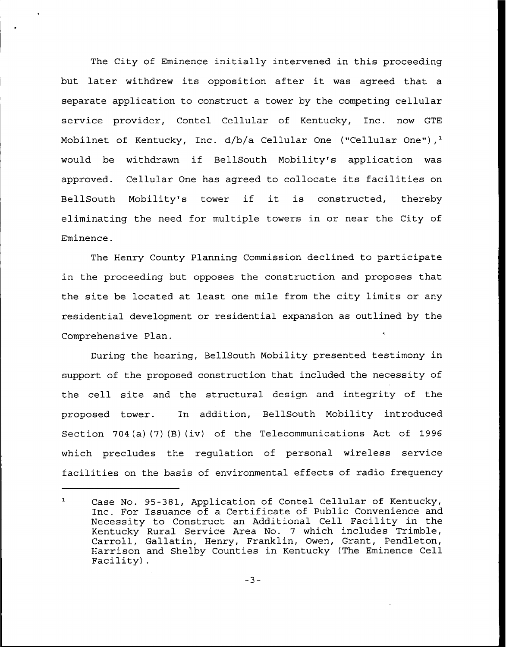The City of Eminence initially intervened in this proceeding but later withdrew its opposition after it was agreed that <sup>a</sup> separate application to construct a tower by the competing cellular service provider, Contel Cellular of Kentucky, Inc. now GTE Mobilnet of Kentucky, Inc.  $d/b/a$  Cellular One ("Cellular One"),<sup>1</sup> be withdrawn if BellSouth Mobility's application was approved. Cellular One has agreed to collocate its facilities on BellSouth Mobility's tower if it is constructed, thereby eliminating the need for multiple towers in or near the City of Eminence.

The Henry County Planning Commission declined to participate in the proceeding but opposes the construction and proposes that the site be located at least one mile from the city limits or any residential development or residential expansion as outlined by the Comprehensive Plan.

During the hearing, BellSouth Mobility presented testimony in support of the proposed construction that included the necessity of the cell site and the structural design and integrity of the proposed tower. In addition, BellSouth Mobility introduced Section 704(a) (7) (B) (iv) of the Telecommunications Act of 1996 which precludes the regulation of personal wireless service facilities on the basis of environmental effects of radio frequency

 $\mathbf{1}$ Case No. 95-381, Application of Contel Cellular of Kentucky, Inc. For Issuance of a Certificate of Public Convenience and Necessity to Construct an Additional Cell Facility in the Kentucky Rural Service Area No. 7 which includes Trimble, Carroll, Gallatin, Henry, Franklin, Owen, Grant, Pendleton, Harrison and Shelby Counties in Kentucky (The Eminence Cell Facility).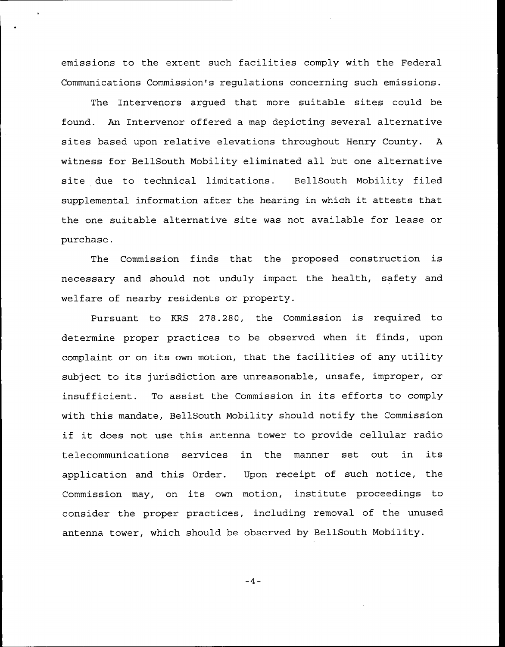emissions to the extent such facilities comply with the Federal Communications Commission's regulations concerning such emissions.

The Intervenors argued that more suitable sites could be found. An Intervenor offered a map depicting several alternative sites based upon relative elevations throughout Henry County. <sup>A</sup> witness for BellSouth Nobility eliminated all but one alternative site due to technical limitations. BellSouth Mobility filed supplemental information after the hearing in which it attests that the one suitable alternative site was not available for lease or purchase.

The Commission finds that the proposed construction is necessary and should not unduly impact the health, safety and welfare of nearby residents or property.

Pursuant to KRS 278.280, the Commission is required to determine proper practices to be observed when it finds, upon complaint or on its own motion, that the facilities of any utility subject to its jurisdiction are unreasonable, unsafe, improper, or insufficient. To assist the Commission in its efforts to comply with this mandate, BellSouth Mobility should notify the Commission if it does not use this antenna tower to provide cellular radio telecommunications services in the manner set out in its application and this Order. Upon receipt of such notice, the Commission may, on its own motion, institute proceedings to consider the proper practices, including removal of the unused antenna tower, which should be observed by BellSouth Mobility.

$$
-4-
$$